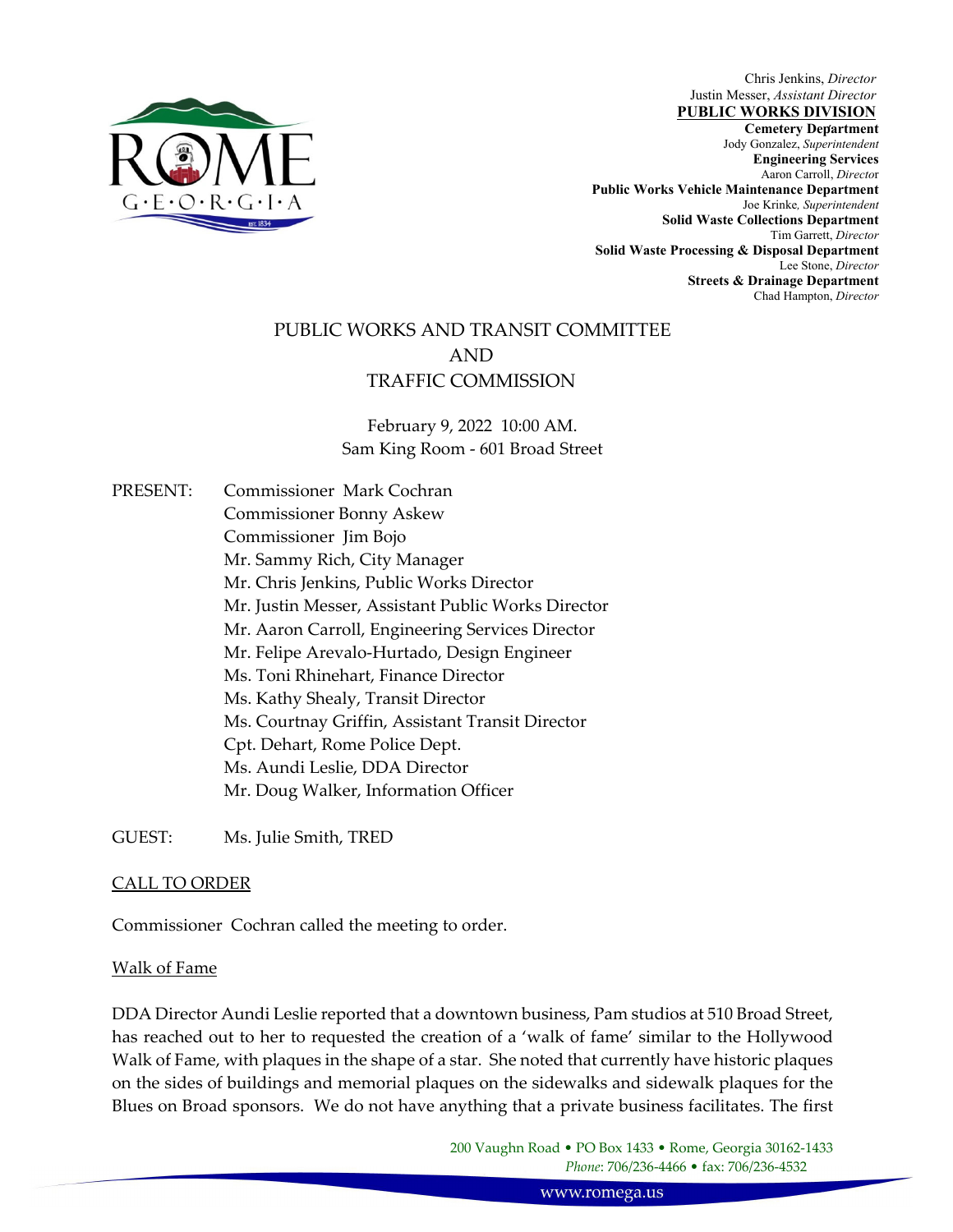

Chris Jenkins, *Director* Justin Messer, *Assistant Director*

 , **Cemetery Department**  Jody Gonzalez, *Superintendent* **Jody Gonzalez**, *Superintendent* **PUBLIC WORKS DIVISION Engineering Services**  Aaron Carroll, *Directo*r **Public Works Vehicle Maintenance Department**  Joe Krinke*, Superintendent*  **Solid Waste Collections Department**  Tim Garrett, *Director* **Solid Waste Processing & Disposal Department**  Lee Stone, *Director* **Streets & Drainage Department**  Chad Hampton, *Director* 

## PUBLIC WORKS AND TRANSIT COMMITTEE AND TRAFFIC COMMISSION

February 9, 2022 10:00 AM. Sam King Room ‐ 601 Broad Street

PRESENT: Commissioner Mark Cochran Commissioner Bonny Askew Commissioner Jim Bojo Mr. Sammy Rich, City Manager Mr. Chris Jenkins, Public Works Director Mr. Justin Messer, Assistant Public Works Director Mr. Aaron Carroll, Engineering Services Director Mr. Felipe Arevalo‐Hurtado, Design Engineer Ms. Toni Rhinehart, Finance Director Ms. Kathy Shealy, Transit Director Ms. Courtnay Griffin, Assistant Transit Director Cpt. Dehart, Rome Police Dept. Ms. Aundi Leslie, DDA Director Mr. Doug Walker, Information Officer

GUEST: Ms. Julie Smith, TRED

## CALL TO ORDER

Commissioner Cochran called the meeting to order.

#### Walk of Fame

DDA Director Aundi Leslie reported that a downtown business, Pam studios at 510 Broad Street, has reached out to her to requested the creation of a 'walk of fame' similar to the Hollywood Walk of Fame, with plaques in the shape of a star. She noted that currently have historic plaques on the sides of buildings and memorial plaques on the sidewalks and sidewalk plaques for the Blues on Broad sponsors. We do not have anything that a private business facilitates. The first

> 200 Vaughn Road • PO Box 1433 • Rome, Georgia 30162‐1433 *Phone*: 706/236‐4466 • fax: 706/236‐4532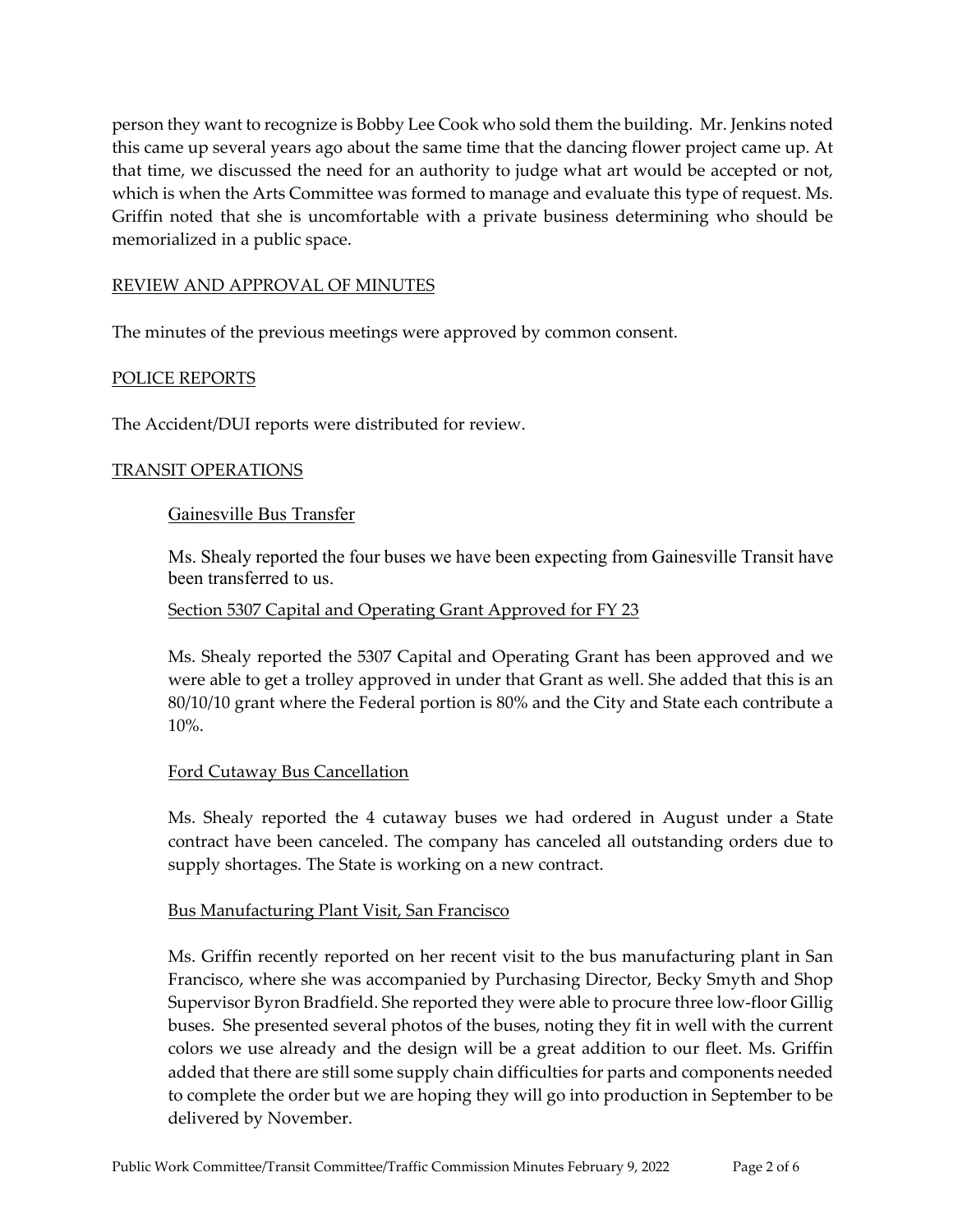person they want to recognize is Bobby Lee Cook who sold them the building. Mr. Jenkins noted this came up several years ago about the same time that the dancing flower project came up. At that time, we discussed the need for an authority to judge what art would be accepted or not, which is when the Arts Committee was formed to manage and evaluate this type of request. Ms. Griffin noted that she is uncomfortable with a private business determining who should be memorialized in a public space.

#### REVIEW AND APPROVAL OF MINUTES

The minutes of the previous meetings were approved by common consent.

## POLICE REPORTS

The Accident/DUI reports were distributed for review.

#### TRANSIT OPERATIONS

#### Gainesville Bus Transfer

Ms. Shealy reported the four buses we have been expecting from Gainesville Transit have been transferred to us.

Section 5307 Capital and Operating Grant Approved for FY 23

Ms. Shealy reported the 5307 Capital and Operating Grant has been approved and we were able to get a trolley approved in under that Grant as well. She added that this is an 80/10/10 grant where the Federal portion is 80% and the City and State each contribute a 10%.

#### Ford Cutaway Bus Cancellation

Ms. Shealy reported the 4 cutaway buses we had ordered in August under a State contract have been canceled. The company has canceled all outstanding orders due to supply shortages. The State is working on a new contract.

#### Bus Manufacturing Plant Visit, San Francisco

Ms. Griffin recently reported on her recent visit to the bus manufacturing plant in San Francisco, where she was accompanied by Purchasing Director, Becky Smyth and Shop Supervisor Byron Bradfield. She reported they were able to procure three low‐floor Gillig buses. She presented several photos of the buses, noting they fit in well with the current colors we use already and the design will be a great addition to our fleet. Ms. Griffin added that there are still some supply chain difficulties for parts and components needed to complete the order but we are hoping they will go into production in September to be delivered by November.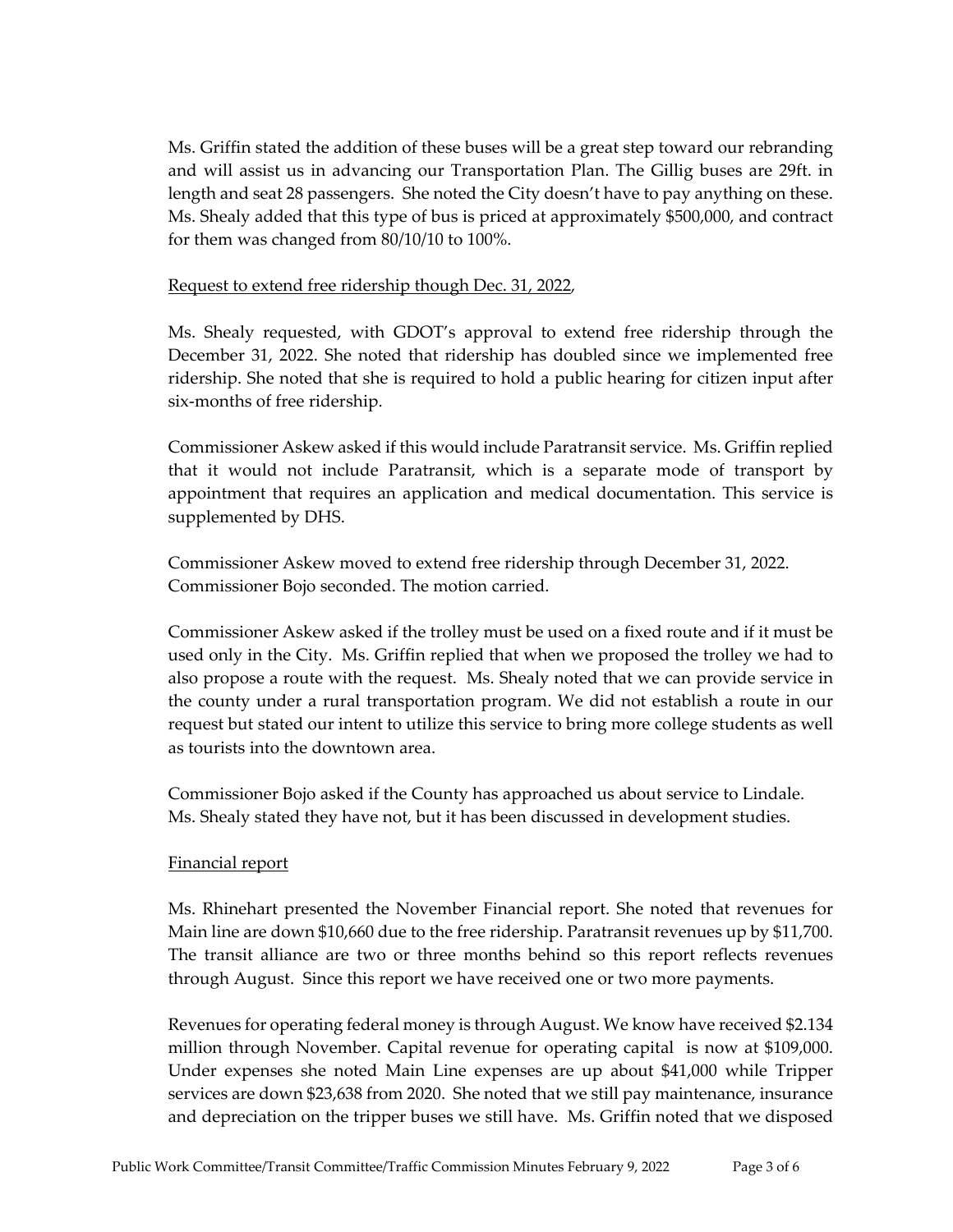Ms. Griffin stated the addition of these buses will be a great step toward our rebranding and will assist us in advancing our Transportation Plan. The Gillig buses are 29ft. in length and seat 28 passengers. She noted the City doesn't have to pay anything on these. Ms. Shealy added that this type of bus is priced at approximately \$500,000, and contract for them was changed from 80/10/10 to 100%.

## Request to extend free ridership though Dec. 31, 2022,

Ms. Shealy requested, with GDOT's approval to extend free ridership through the December 31, 2022. She noted that ridership has doubled since we implemented free ridership. She noted that she is required to hold a public hearing for citizen input after six‐months of free ridership.

Commissioner Askew asked if this would include Paratransit service. Ms. Griffin replied that it would not include Paratransit, which is a separate mode of transport by appointment that requires an application and medical documentation. This service is supplemented by DHS.

Commissioner Askew moved to extend free ridership through December 31, 2022. Commissioner Bojo seconded. The motion carried.

Commissioner Askew asked if the trolley must be used on a fixed route and if it must be used only in the City. Ms. Griffin replied that when we proposed the trolley we had to also propose a route with the request. Ms. Shealy noted that we can provide service in the county under a rural transportation program. We did not establish a route in our request but stated our intent to utilize this service to bring more college students as well as tourists into the downtown area.

Commissioner Bojo asked if the County has approached us about service to Lindale. Ms. Shealy stated they have not, but it has been discussed in development studies.

## Financial report

Ms. Rhinehart presented the November Financial report. She noted that revenues for Main line are down \$10,660 due to the free ridership. Paratransit revenues up by \$11,700. The transit alliance are two or three months behind so this report reflects revenues through August. Since this report we have received one or two more payments.

Revenues for operating federal money is through August. We know have received \$2.134 million through November. Capital revenue for operating capital is now at \$109,000. Under expenses she noted Main Line expenses are up about \$41,000 while Tripper services are down \$23,638 from 2020. She noted that we still pay maintenance, insurance and depreciation on the tripper buses we still have. Ms. Griffin noted that we disposed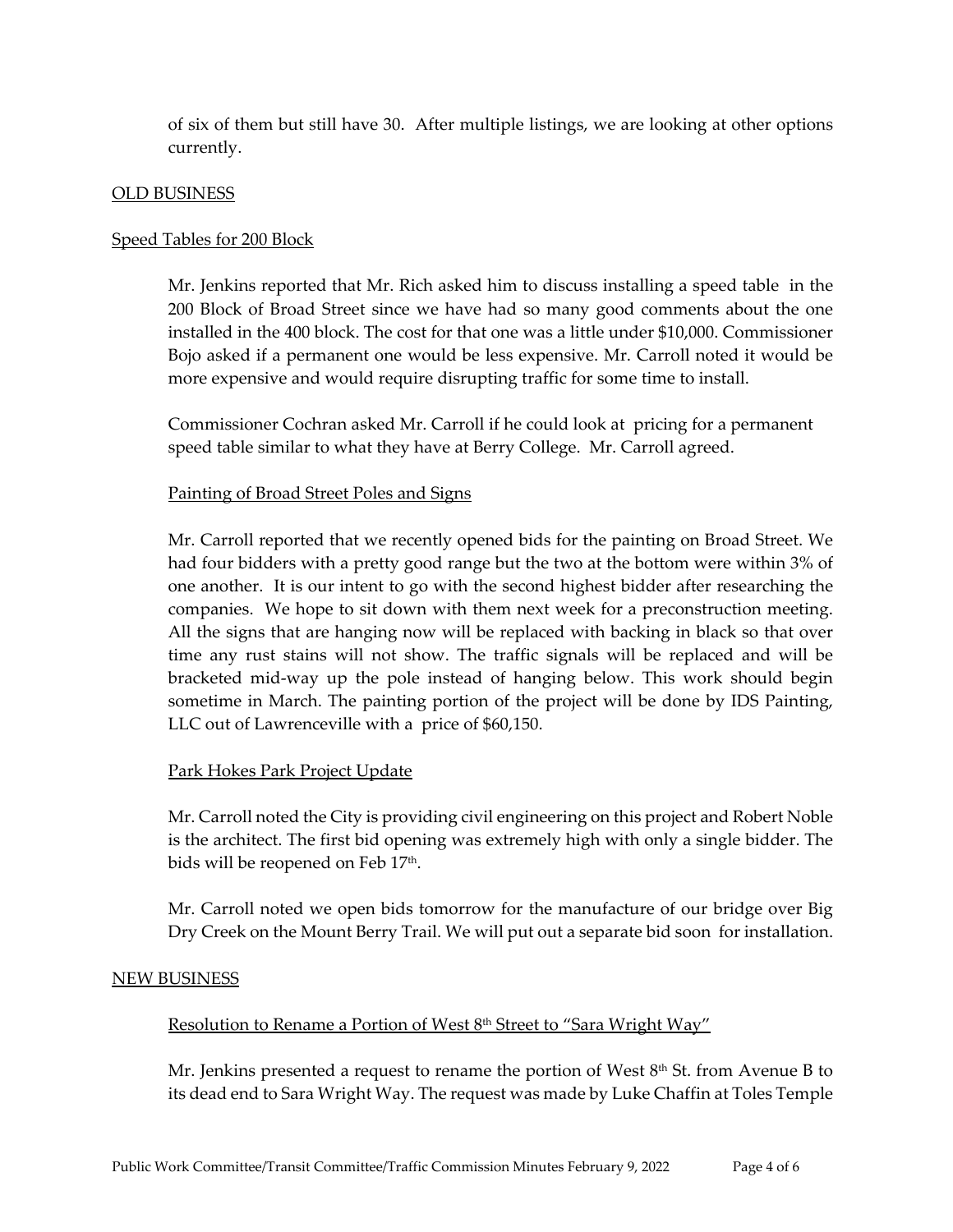of six of them but still have 30. After multiple listings, we are looking at other options currently.

#### OLD BUSINESS

## Speed Tables for 200 Block

Mr. Jenkins reported that Mr. Rich asked him to discuss installing a speed table in the 200 Block of Broad Street since we have had so many good comments about the one installed in the 400 block. The cost for that one was a little under \$10,000. Commissioner Bojo asked if a permanent one would be less expensive. Mr. Carroll noted it would be more expensive and would require disrupting traffic for some time to install.

Commissioner Cochran asked Mr. Carroll if he could look at pricing for a permanent speed table similar to what they have at Berry College. Mr. Carroll agreed.

#### Painting of Broad Street Poles and Signs

Mr. Carroll reported that we recently opened bids for the painting on Broad Street. We had four bidders with a pretty good range but the two at the bottom were within 3% of one another. It is our intent to go with the second highest bidder after researching the companies. We hope to sit down with them next week for a preconstruction meeting. All the signs that are hanging now will be replaced with backing in black so that over time any rust stains will not show. The traffic signals will be replaced and will be bracketed mid‐way up the pole instead of hanging below. This work should begin sometime in March. The painting portion of the project will be done by IDS Painting, LLC out of Lawrenceville with a price of \$60,150.

#### Park Hokes Park Project Update

Mr. Carroll noted the City is providing civil engineering on this project and Robert Noble is the architect. The first bid opening was extremely high with only a single bidder. The bids will be reopened on Feb 17<sup>th</sup>.

Mr. Carroll noted we open bids tomorrow for the manufacture of our bridge over Big Dry Creek on the Mount Berry Trail. We will put out a separate bid soon for installation.

#### NEW BUSINESS

#### Resolution to Rename a Portion of West 8<sup>th</sup> Street to "Sara Wright Way"

Mr. Jenkins presented a request to rename the portion of West  $8<sup>th</sup>$  St. from Avenue B to its dead end to Sara Wright Way. The request was made by Luke Chaffin at Toles Temple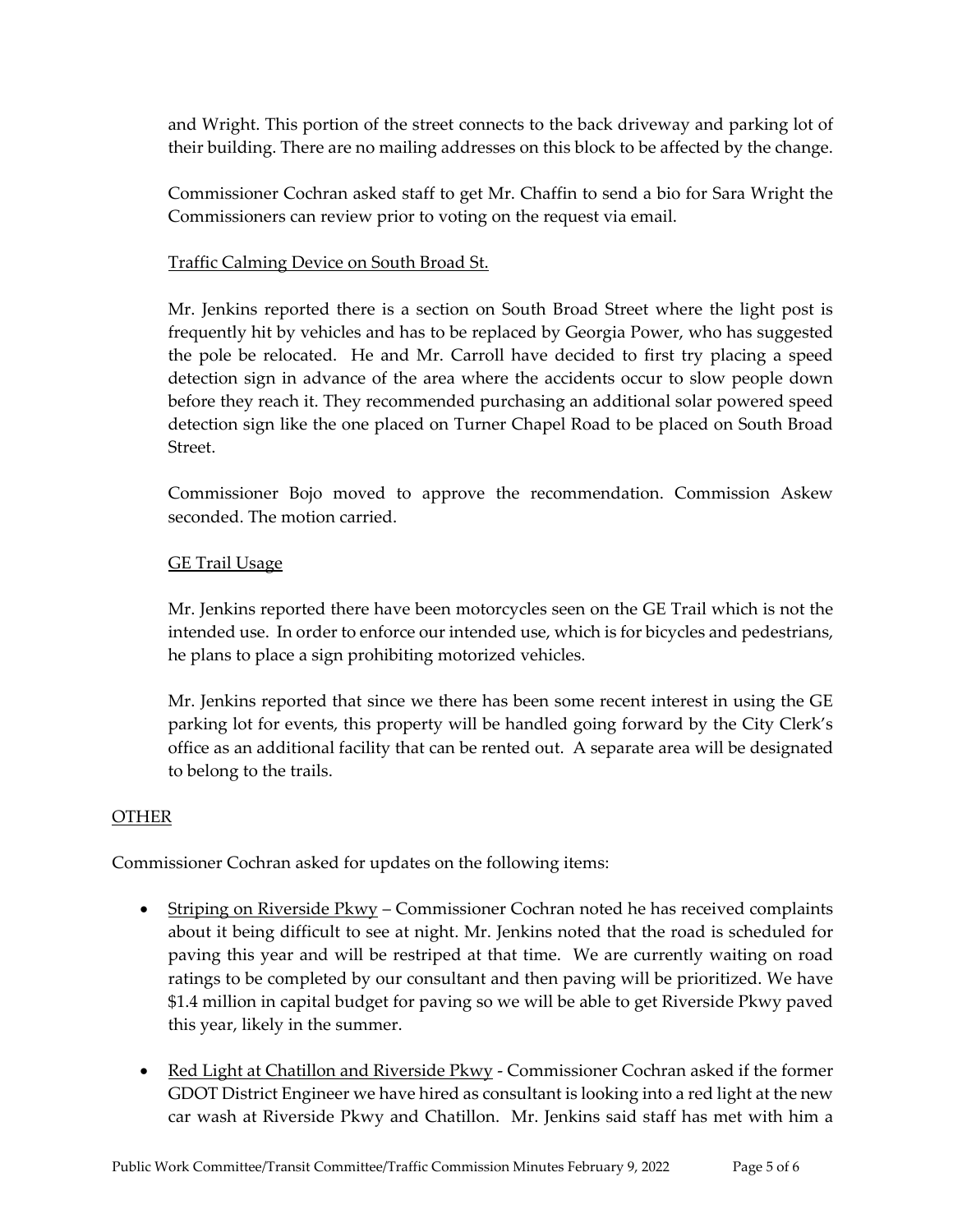and Wright. This portion of the street connects to the back driveway and parking lot of their building. There are no mailing addresses on this block to be affected by the change.

Commissioner Cochran asked staff to get Mr. Chaffin to send a bio for Sara Wright the Commissioners can review prior to voting on the request via email.

## Traffic Calming Device on South Broad St.

Mr. Jenkins reported there is a section on South Broad Street where the light post is frequently hit by vehicles and has to be replaced by Georgia Power, who has suggested the pole be relocated. He and Mr. Carroll have decided to first try placing a speed detection sign in advance of the area where the accidents occur to slow people down before they reach it. They recommended purchasing an additional solar powered speed detection sign like the one placed on Turner Chapel Road to be placed on South Broad Street.

Commissioner Bojo moved to approve the recommendation. Commission Askew seconded. The motion carried.

## GE Trail Usage

Mr. Jenkins reported there have been motorcycles seen on the GE Trail which is not the intended use. In order to enforce our intended use, which is for bicycles and pedestrians, he plans to place a sign prohibiting motorized vehicles.

Mr. Jenkins reported that since we there has been some recent interest in using the GE parking lot for events, this property will be handled going forward by the City Clerk's office as an additional facility that can be rented out. A separate area will be designated to belong to the trails.

## OTHER

Commissioner Cochran asked for updates on the following items:

- Striping on Riverside  $Pkwy -$ Commissioner Cochran noted he has received complaints about it being difficult to see at night. Mr. Jenkins noted that the road is scheduled for paving this year and will be restriped at that time. We are currently waiting on road ratings to be completed by our consultant and then paving will be prioritized. We have \$1.4 million in capital budget for paving so we will be able to get Riverside Pkwy paved this year, likely in the summer.
- Red Light at Chatillon and Riverside Pkwy Commissioner Cochran asked if the former GDOT District Engineer we have hired as consultant is looking into a red light at the new car wash at Riverside Pkwy and Chatillon. Mr. Jenkins said staff has met with him a